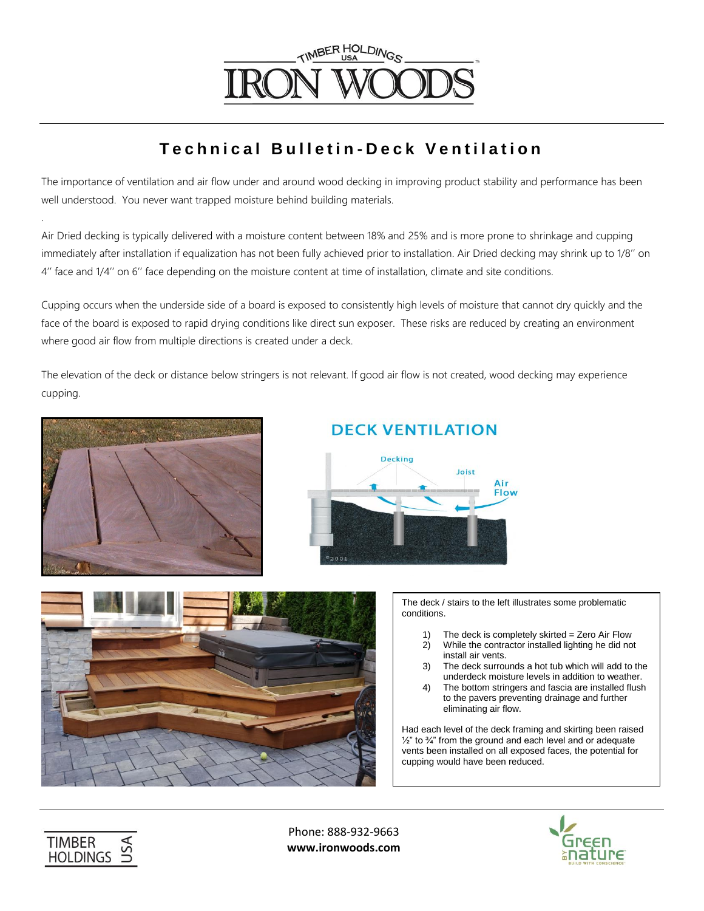# TIMBER HOLDINGS

### **T e c h n i c a l B u l l e t i n - D e c k V e n t i l a t i o n**

The importance of ventilation and air flow under and around wood decking in improving product stability and performance has been well understood. You never want trapped moisture behind building materials.

Air Dried decking is typically delivered with a moisture content between 18% and 25% and is more prone to shrinkage and cupping immediately after installation if equalization has not been fully achieved prior to installation. Air Dried decking may shrink up to 1/8'' on 4'' face and 1/4'' on 6'' face depending on the moisture content at time of installation, climate and site conditions.

Cupping occurs when the underside side of a board is exposed to consistently high levels of moisture that cannot dry quickly and the face of the board is exposed to rapid drying conditions like direct sun exposer. These risks are reduced by creating an environment where good air flow from multiple directions is created under a deck.

The elevation of the deck or distance below stringers is not relevant. If good air flow is not created, wood decking may experience cupping.



.

### **DECK VENTILATION**





The deck / stairs to the left illustrates some problematic conditions.

- 1) The deck is completely skirted  $=$  Zero Air Flow 2) While the contractor installed lighting he did no
- While the contractor installed lighting he did not install air vents.
- 3) The deck surrounds a hot tub which will add to the underdeck moisture levels in addition to weather.
- 4) The bottom stringers and fascia are installed flush to the pavers preventing drainage and further eliminating air flow.

Had each level of the deck framing and skirting been raised  $\frac{1}{2}$ " to  $\frac{3}{4}$ " from the ground and each level and or adequate vents been installed on all exposed faces, the potential for cupping would have been reduced.



Phone: 888-932-9663 **www.ironwoods.com**

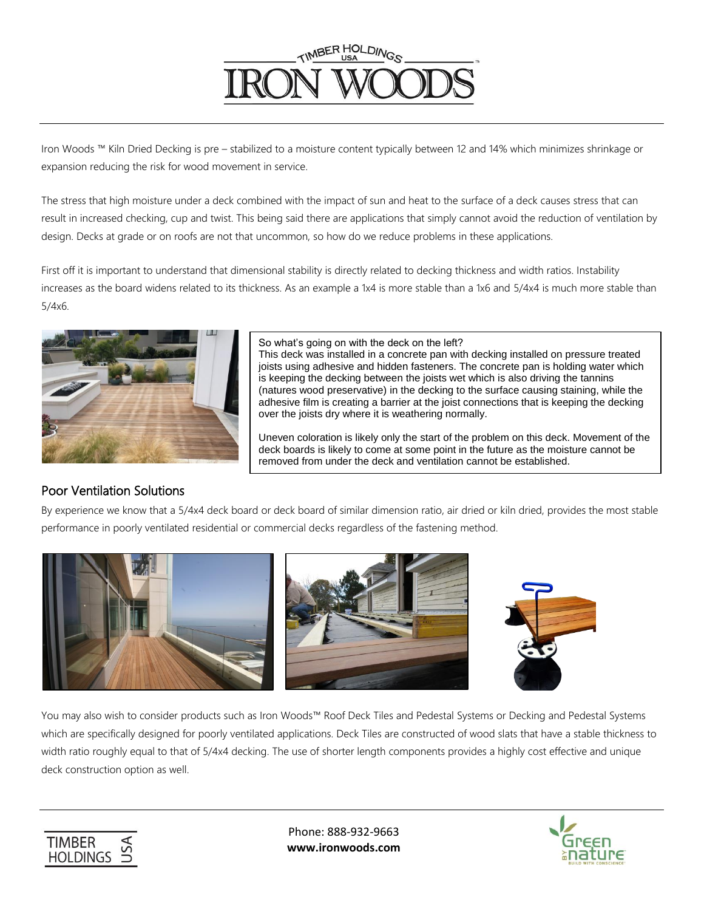# TIMBER HOLDINGS

Iron Woods ™ Kiln Dried Decking is pre – stabilized to a moisture content typically between 12 and 14% which minimizes shrinkage or expansion reducing the risk for wood movement in service.

The stress that high moisture under a deck combined with the impact of sun and heat to the surface of a deck causes stress that can result in increased checking, cup and twist. This being said there are applications that simply cannot avoid the reduction of ventilation by design. Decks at grade or on roofs are not that uncommon, so how do we reduce problems in these applications.

First off it is important to understand that dimensional stability is directly related to decking thickness and width ratios. Instability increases as the board widens related to its thickness. As an example a 1x4 is more stable than a 1x6 and 5/4x4 is much more stable than 5/4x6.



So what's going on with the deck on the left?

This deck was installed in a concrete pan with decking installed on pressure treated joists using adhesive and hidden fasteners. The concrete pan is holding water which is keeping the decking between the joists wet which is also driving the tannins (natures wood preservative) in the decking to the surface causing staining, while the adhesive film is creating a barrier at the joist connections that is keeping the decking over the joists dry where it is weathering normally.

Uneven coloration is likely only the start of the problem on this deck. Movement of the deck boards is likely to come at some point in the future as the moisture cannot be removed from under the deck and ventilation cannot be established.

#### Poor Ventilation Solutions

By experience we know that a 5/4x4 deck board or deck board of similar dimension ratio, air dried or kiln dried, provides the most stable performance in poorly ventilated residential or commercial decks regardless of the fastening method.



You may also wish to consider products such as Iron Woods™ Roof Deck Tiles and Pedestal Systems or Decking and Pedestal Systems which are specifically designed for poorly ventilated applications. Deck Tiles are constructed of wood slats that have a stable thickness to width ratio roughly equal to that of 5/4x4 decking. The use of shorter length components provides a highly cost effective and unique deck construction option as well.



Phone: 888-932-9663 **www.ironwoods.com**